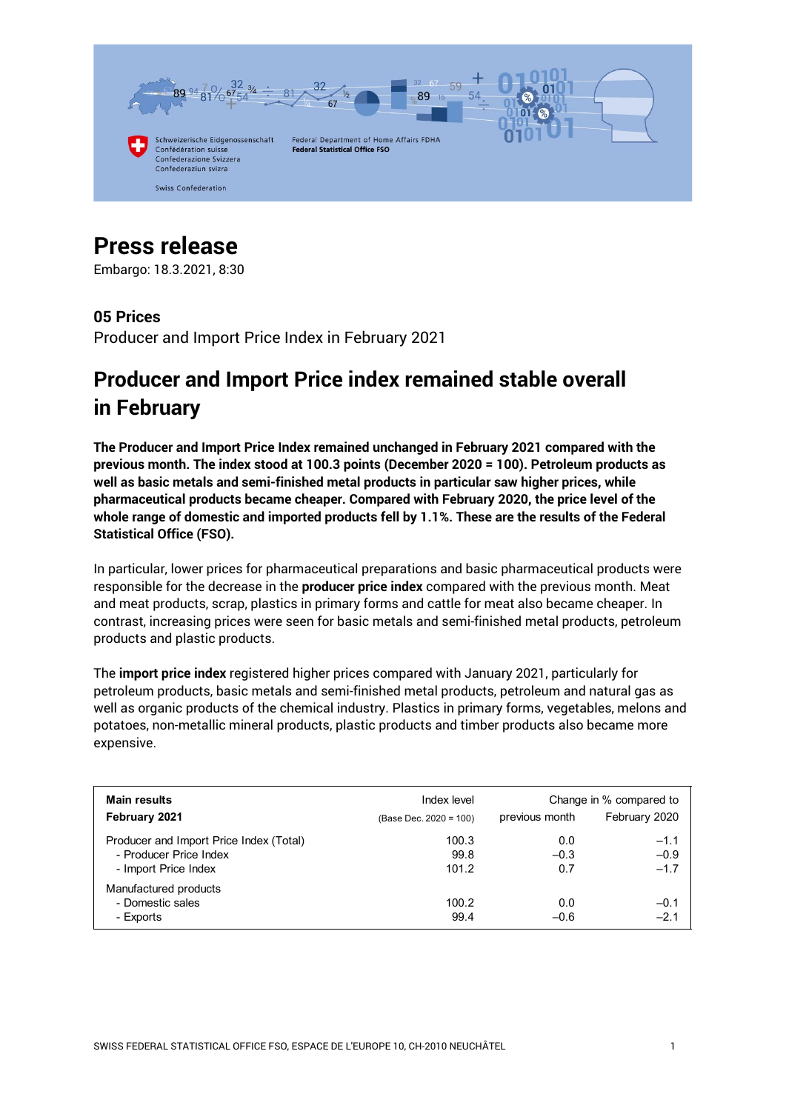

# **Press release**

Embargo: 18.3.2021, 8:30

## **05 Prices**

Producer and Import Price Index in February 2021

## **Producer and Import Price index remained stable overall in February**

**The Producer and Import Price Index remained unchanged in February 2021 compared with the previous month. The index stood at 100.3 points (December 2020 = 100). Petroleum products as well as basic metals and semi-finished metal products in particular saw higher prices, while pharmaceutical products became cheaper. Compared with February 2020, the price level of the whole range of domestic and imported products fell by 1.1%. These are the results of the Federal Statistical Office (FSO).**

In particular, lower prices for pharmaceutical preparations and basic pharmaceutical products were responsible for the decrease in the **producer price index** compared with the previous month. Meat and meat products, scrap, plastics in primary forms and cattle for meat also became cheaper. In contrast, increasing prices were seen for basic metals and semi-finished metal products, petroleum products and plastic products.

The **import price index** registered higher prices compared with January 2021, particularly for petroleum products, basic metals and semi-finished metal products, petroleum and natural gas as well as organic products of the chemical industry. Plastics in primary forms, vegetables, melons and potatoes, non-metallic mineral products, plastic products and timber products also became more expensive.

| Main results<br>February 2021                                                             | Index level<br>(Base Dec. 2020 = 100) | Change in % compared to<br>February 2020<br>previous month |                            |  |
|-------------------------------------------------------------------------------------------|---------------------------------------|------------------------------------------------------------|----------------------------|--|
| Producer and Import Price Index (Total)<br>- Producer Price Index<br>- Import Price Index | 100.3<br>99.8<br>101.2                | 0.0<br>$-0.3$<br>0.7                                       | $-1.1$<br>$-0.9$<br>$-1.7$ |  |
| Manufactured products<br>- Domestic sales<br>- Exports                                    | 100.2<br>99.4                         | 0.0<br>$-0.6$                                              | $-0.1$<br>$-2.1$           |  |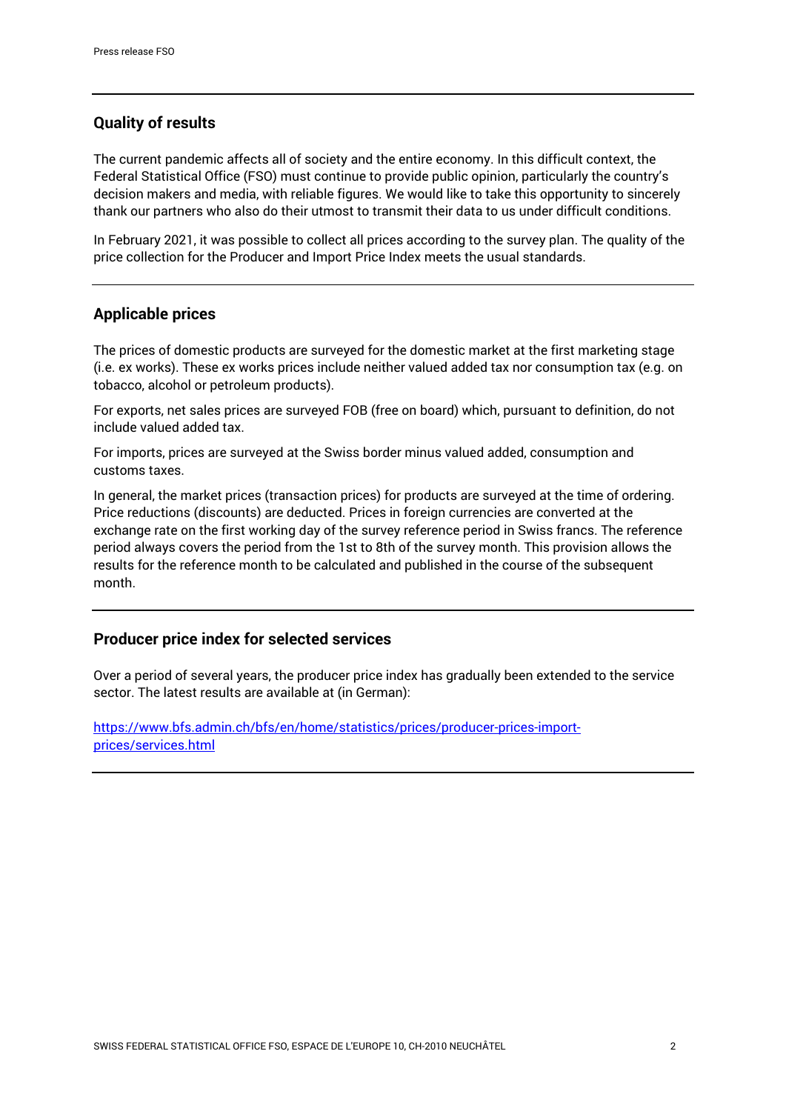## **Quality of results**

The current pandemic affects all of society and the entire economy. In this difficult context, the Federal Statistical Office (FSO) must continue to provide public opinion, particularly the country's decision makers and media, with reliable figures. We would like to take this opportunity to sincerely thank our partners who also do their utmost to transmit their data to us under difficult conditions.

In February 2021, it was possible to collect all prices according to the survey plan. The quality of the price collection for the Producer and Import Price Index meets the usual standards.

### **Applicable prices**

The prices of domestic products are surveyed for the domestic market at the first marketing stage (i.e. ex works). These ex works prices include neither valued added tax nor consumption tax (e.g. on tobacco, alcohol or petroleum products).

For exports, net sales prices are surveyed FOB (free on board) which, pursuant to definition, do not include valued added tax.

For imports, prices are surveyed at the Swiss border minus valued added, consumption and customs taxes.

In general, the market prices (transaction prices) for products are surveyed at the time of ordering. Price reductions (discounts) are deducted. Prices in foreign currencies are converted at the exchange rate on the first working day of the survey reference period in Swiss francs. The reference period always covers the period from the 1st to 8th of the survey month. This provision allows the results for the reference month to be calculated and published in the course of the subsequent month.

## **Producer price index for selected services**

Over a period of several years, the producer price index has gradually been extended to the service sector. The latest results are available at (in German):

[https://www.bfs.admin.ch/bfs/en/home/statistics/prices/producer-prices-import](https://www.bfs.admin.ch/bfs/en/home/statistics/prices/producer-prices-import-prices/services.html)[prices/services.html](https://www.bfs.admin.ch/bfs/en/home/statistics/prices/producer-prices-import-prices/services.html)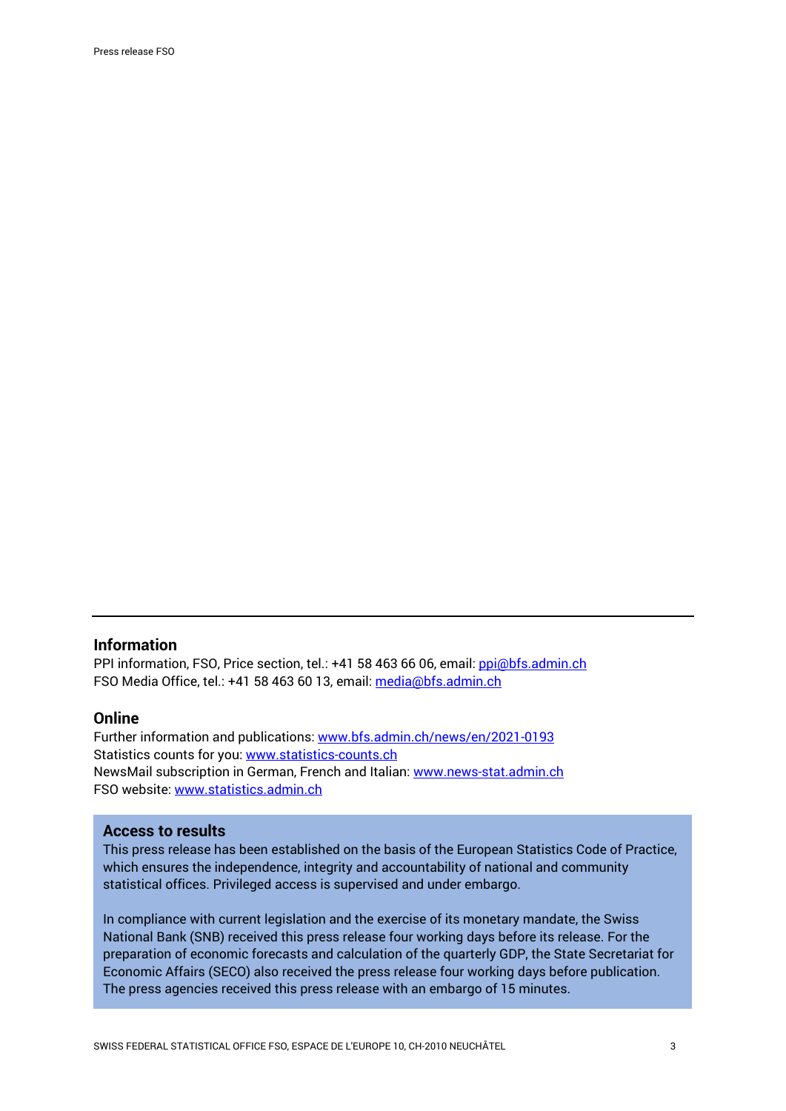#### **Information**

PPI information, FSO, Price section, tel.: +41 58 463 66 06, email: [ppi@bfs.admin.ch](mailto:ppi@bfs.admin.ch) FSO Media Office, tel.: +41 58 463 60 13, email: [media@bfs.admin.ch](mailto:media@bfs.admin.ch)

#### **Online**

Further information and publications: [www.bfs.admin.ch/news/en/2021-0193](https://www.bfs.admin.ch/news/en/2021-0193) Statistics counts for you: [www.statistics-counts.ch](https://statistics-counts.ch/) NewsMail subscription in German, French and Italian: [www.news-stat.admin.ch](https://www.bfs.admin.ch/bfs/de/home/dienstleistungen/kontakt/newsmail-abonnement.html) FSO website: [www.statistics.admin.ch](https://www.bfs.admin.ch/bfs/en/home.html)

#### **Access to results**

This press release has been established on the basis of the European Statistics Code of Practice, which ensures the independence, integrity and accountability of national and community statistical offices. Privileged access is supervised and under embargo.

In compliance with current legislation and the exercise of its monetary mandate, the Swiss National Bank (SNB) received this press release four working days before its release. For the preparation of economic forecasts and calculation of the quarterly GDP, the State Secretariat for Economic Affairs (SECO) also received the press release four working days before publication. The press agencies received this press release with an embargo of 15 minutes.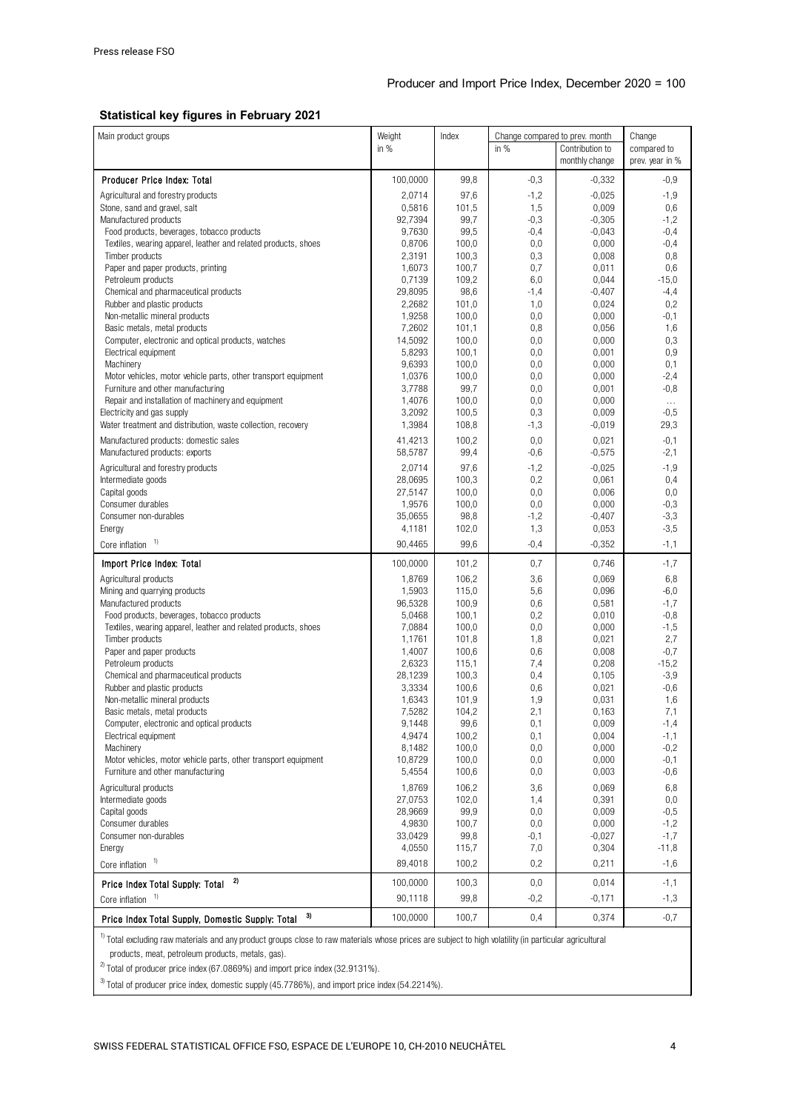#### **Statistical key figures in February 2021**

| Main product groups                                                                                          | Weight            | Index          | Change compared to prev. month |                   | Change            |
|--------------------------------------------------------------------------------------------------------------|-------------------|----------------|--------------------------------|-------------------|-------------------|
|                                                                                                              | in $%$            |                | in $%$                         | Contribution to   | compared to       |
|                                                                                                              |                   |                |                                | monthly change    | prev. year in %   |
| Producer Price Index: Total                                                                                  | 100,0000          | 99,8           | $-0,3$                         | $-0,332$          | $-0,9$            |
| Agricultural and forestry products                                                                           | 2,0714            | 97,6           | $-1,2$                         | $-0,025$          | $-1,9$            |
| Stone, sand and gravel, salt                                                                                 | 0,5816            | 101,5          | 1,5                            | 0,009             | 0,6               |
| Manufactured products                                                                                        | 92,7394           | 99,7           | $-0,3$                         | $-0,305$          | $-1,2$            |
| Food products, beverages, tobacco products<br>Textiles, wearing apparel, leather and related products, shoes | 9,7630<br>0,8706  | 99,5<br>100,0  | $-0,4$<br>0,0                  | $-0,043$<br>0,000 | $-0,4$<br>$-0,4$  |
| Timber products                                                                                              | 2,3191            | 100,3          | 0,3                            | 0,008             | 0,8               |
| Paper and paper products, printing                                                                           | 1,6073            | 100,7          | 0,7                            | 0,011             | 0,6               |
| Petroleum products                                                                                           | 0,7139            | 109,2          | 6,0                            | 0,044             | $-15,0$           |
| Chemical and pharmaceutical products                                                                         | 29,8095           | 98,6           | $-1,4$                         | $-0,407$          | $-4,4$            |
| Rubber and plastic products                                                                                  | 2,2682            | 101,0          | 1,0                            | 0,024             | 0,2               |
| Non-metallic mineral products                                                                                | 1,9258            | 100,0          | 0,0                            | 0,000             | $-0,1$            |
| Basic metals, metal products                                                                                 | 7,2602            | 101,1          | 0,8                            | 0,056             | 1,6               |
| Computer, electronic and optical products, watches                                                           | 14,5092<br>5,8293 | 100,0<br>100,1 | 0,0                            | 0,000<br>0,001    | 0,3<br>0,9        |
| Electrical equipment<br>Machinery                                                                            | 9,6393            | 100,0          | 0,0<br>0,0                     | 0,000             | 0,1               |
| Motor vehicles, motor vehicle parts, other transport equipment                                               | 1,0376            | 100,0          | 0,0                            | 0,000             | $-2,4$            |
| Furniture and other manufacturing                                                                            | 3,7788            | 99,7           | 0,0                            | 0,001             | $-0,8$            |
| Repair and installation of machinery and equipment                                                           | 1,4076            | 100,0          | 0,0                            | 0,000             | $\ldots$          |
| Electricity and gas supply                                                                                   | 3,2092            | 100,5          | 0,3                            | 0,009             | $-0,5$            |
| Water treatment and distribution, waste collection, recovery                                                 | 1,3984            | 108,8          | $-1,3$                         | $-0,019$          | 29,3              |
| Manufactured products: domestic sales                                                                        | 41,4213           | 100,2          | 0,0                            | 0,021             | $-0,1$            |
| Manufactured products: exports                                                                               | 58,5787           | 99,4           | $-0,6$                         | $-0,575$          | $-2,1$            |
| Agricultural and forestry products                                                                           | 2,0714            | 97,6           | $-1,2$                         | $-0.025$          | $-1,9$            |
| Intermediate goods                                                                                           | 28,0695           | 100,3          | 0,2                            | 0,061             | 0,4               |
| Capital goods                                                                                                | 27,5147           | 100,0          | 0,0                            | 0,006             | 0,0               |
| Consumer durables<br>Consumer non-durables                                                                   | 1,9576<br>35,0655 | 100,0<br>98,8  | 0,0<br>$-1,2$                  | 0,000<br>$-0,407$ | $-0,3$<br>$-3,3$  |
| Energy                                                                                                       | 4,1181            | 102,0          | 1,3                            | 0,053             | $-3,5$            |
| Core inflation $1$                                                                                           | 90,4465           | 99,6           | $-0,4$                         | $-0,352$          | $-1,1$            |
| Import Price Index: Total                                                                                    | 100,0000          | 101,2          | 0,7                            | 0,746             | $-1,7$            |
| Agricultural products                                                                                        | 1,8769            | 106,2          | 3,6                            | 0,069             | 6,8               |
| Mining and quarrying products                                                                                | 1,5903            | 115,0          | 5,6                            | 0,096             | $-6,0$            |
| Manufactured products                                                                                        | 96,5328           | 100,9          | 0,6                            | 0,581             | $-1,7$            |
| Food products, beverages, tobacco products                                                                   | 5,0468            | 100,1          | 0,2                            | 0,010             | $-0,8$            |
| Textiles, wearing apparel, leather and related products, shoes                                               | 7,0884            | 100,0          | 0,0                            | 0,000             | $-1,5$            |
| Timber products<br>Paper and paper products                                                                  | 1.1761<br>1,4007  | 101,8<br>100,6 | 1,8<br>0,6                     | 0,021<br>0,008    | 2,7<br>$-0,7$     |
| Petroleum products                                                                                           | 2,6323            | 115,1          | 7,4                            | 0,208             | $-15,2$           |
| Chemical and pharmaceutical products                                                                         | 28,1239           | 100,3          | 0,4                            | 0,105             | $-3,9$            |
| Rubber and plastic products                                                                                  | 3,3334            | 100,6          | 0,6                            | 0,021             | $-0,6$            |
| Non-metallic mineral products                                                                                | 1,6343            | 101,9          | 1,9                            | 0,031             | 1,6               |
| Basic metals, metal products                                                                                 | 7,5282            | 104,2          | 2,1                            | 0,163             | 7,1               |
| Computer, electronic and optical products                                                                    | 9,1448            | 99,6           | 0,1                            | 0,009             | $-1,4$            |
| Electrical equipment<br>Machinery                                                                            | 4,9474<br>8,1482  | 100,2<br>100,0 | 0,1<br>0,0                     | 0,004<br>0,000    | $-1,1$<br>$-0,2$  |
| Motor vehicles, motor vehicle parts, other transport equipment                                               | 10,8729           | 100,0          | 0,0                            | 0,000             | $-0,1$            |
| Furniture and other manufacturing                                                                            | 5,4554            | 100,6          | 0,0                            | 0,003             | $-0,6$            |
| Agricultural products                                                                                        | 1,8769            | 106,2          | 3,6                            | 0,069             | 6,8               |
| Intermediate goods                                                                                           | 27,0753           | 102,0          | 1,4                            | 0,391             | 0,0               |
| Capital goods                                                                                                | 28,9669           | 99,9           | 0,0                            | 0,009             | $-0,5$            |
| Consumer durables                                                                                            | 4,9830            | 100,7          | 0,0                            | 0,000             | $-1,2$            |
| Consumer non-durables<br>Energy                                                                              | 33,0429<br>4,0550 | 99,8<br>115,7  | $-0,1$<br>7,0                  | $-0,027$<br>0,304 | $-1,7$<br>$-11,8$ |
| Core inflation $1$                                                                                           | 89,4018           | 100,2          | 0,2                            | 0,211             | $-1,6$            |
| 2)                                                                                                           | 100,0000          | 100,3          | 0,0                            | 0,014             | $-1,1$            |
| Price Index Total Supply: Total<br>Core inflation                                                            | 90,1118           | 99,8           | $-0,2$                         | $-0,171$          | $-1,3$            |
| 3)<br>Price Index Total Supply, Domestic Supply: Total                                                       | 100,0000          | 100,7          | 0,4                            | 0,374             | $-0,7$            |
|                                                                                                              |                   |                |                                |                   |                   |

 $1)$  Total excluding raw materials and any product groups close to raw materials whose prices are subject to high volatility (in particular agricultural products, meat, petroleum products, metals, gas).

 $^{2}$  Total of producer price index (67.0869%) and import price index (32.9131%).

 $3$  Total of producer price index, domestic supply (45.7786%), and import price index (54.2214%).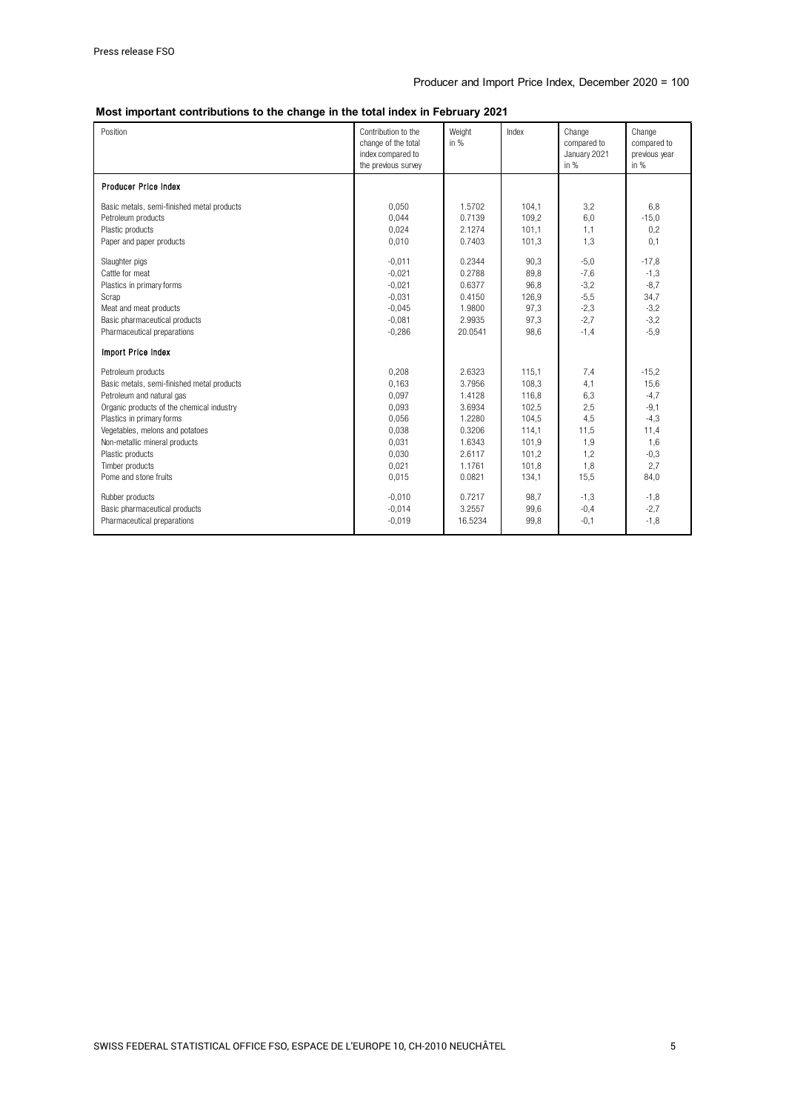#### **Most important contributions to the change in the total index in February 2021**

| Position                                   | Contribution to the<br>change of the total<br>index compared to<br>the previous survey | Weight<br>in $%$ | Index | Change<br>compared to<br>January 2021<br>in $%$ | Change<br>compared to<br>previous year<br>in $%$ |
|--------------------------------------------|----------------------------------------------------------------------------------------|------------------|-------|-------------------------------------------------|--------------------------------------------------|
| <b>Producer Price Index</b>                |                                                                                        |                  |       |                                                 |                                                  |
| Basic metals, semi-finished metal products | 0,050                                                                                  | 1.5702           | 104,1 | 3,2                                             | 6,8                                              |
| Petroleum products                         | 0,044                                                                                  | 0.7139           | 109,2 | 6,0                                             | $-15,0$                                          |
| Plastic products                           | 0,024                                                                                  | 2.1274           | 101,1 | 1,1                                             | 0,2                                              |
| Paper and paper products                   | 0.010                                                                                  | 0.7403           | 101,3 | 1,3                                             | 0,1                                              |
| Slaughter pigs                             | $-0,011$                                                                               | 0.2344           | 90,3  | $-5,0$                                          | $-17,8$                                          |
| Cattle for meat                            | $-0.021$                                                                               | 0.2788           | 89.8  | $-7,6$                                          | $-1,3$                                           |
| Plastics in primary forms                  | $-0,021$                                                                               | 0.6377           | 96,8  | $-3,2$                                          | $-8,7$                                           |
| Scrap                                      | $-0.031$                                                                               | 0.4150           | 126,9 | $-5,5$                                          | 34,7                                             |
| Meat and meat products                     | $-0.045$                                                                               | 1.9800           | 97,3  | $-2,3$                                          | $-3,2$                                           |
| Basic pharmaceutical products              | $-0.081$                                                                               | 2.9935           | 97,3  | $-2,7$                                          | $-3,2$                                           |
| Pharmaceutical preparations                | $-0,286$                                                                               | 20.0541          | 98,6  | $-1,4$                                          | $-5.9$                                           |
| Import Price Index                         |                                                                                        |                  |       |                                                 |                                                  |
| Petroleum products                         | 0,208                                                                                  | 2.6323           | 115,1 | 7,4                                             | $-15.2$                                          |
| Basic metals, semi-finished metal products | 0,163                                                                                  | 3.7956           | 108,3 | 4,1                                             | 15,6                                             |
| Petroleum and natural gas                  | 0,097                                                                                  | 1.4128           | 116,8 | 6,3                                             | $-4,7$                                           |
| Organic products of the chemical industry  | 0.093                                                                                  | 3.6934           | 102,5 | 2,5                                             | $-9,1$                                           |
| Plastics in primary forms                  | 0,056                                                                                  | 1.2280           | 104,5 | 4,5                                             | $-4,3$                                           |
| Vegetables, melons and potatoes            | 0.038                                                                                  | 0.3206           | 114,1 | 11,5                                            | 11,4                                             |
| Non-metallic mineral products              | 0.031                                                                                  | 1.6343           | 101.9 | 1,9                                             | 1,6                                              |
| Plastic products                           | 0.030                                                                                  | 2.6117           | 101.2 | 1,2                                             | $-0,3$                                           |
| Timber products                            | 0,021                                                                                  | 1.1761           | 101,8 | 1,8                                             | 2,7                                              |
| Pome and stone fruits                      | 0,015                                                                                  | 0.0821           | 134,1 | 15,5                                            | 84,0                                             |
| Rubber products                            | $-0,010$                                                                               | 0.7217           | 98,7  | $-1,3$                                          | $-1,8$                                           |
| Basic pharmaceutical products              | $-0.014$                                                                               | 3.2557           | 99.6  | $-0,4$                                          | $-2,7$                                           |
| Pharmaceutical preparations                | $-0,019$                                                                               | 16.5234          | 99.8  | $-0,1$                                          | $-1,8$                                           |